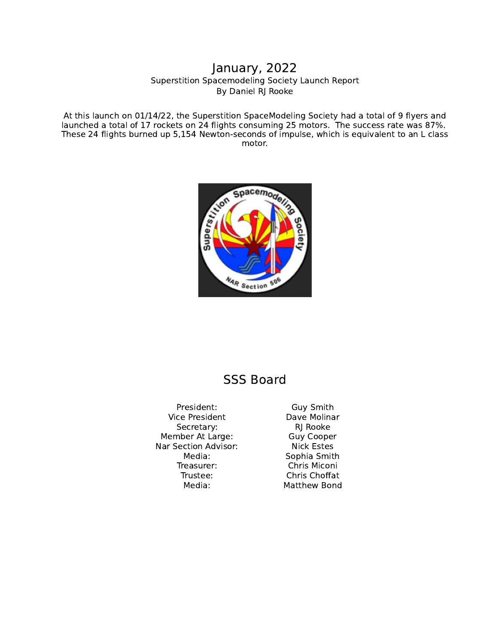## Superstition Spacemodeling Society Launch Report By Daniel RJ Rooke January, 2022

At this launch on 01/14/22, the Superstition SpaceModeling Society had a total of 9 flyers and launched a total of 17 rockets on 24 flights consuming 25 motors. The success rate was 87%. These 24 flights burned up 5,154 Newton-seconds of impulse, which is equivalent to an L class motor.



## SSS Board

President: Guy Smith Vice President Dave Molinar Secretary: RJ Rooke Member At Large: Guy Cooper Nar Section Advisor:<br>Media: Nick Estes<br>Sophia Smit Treasurer: Chris Miconi Trustee: Chris Choffat Media: Matthew Bond

Sophia Smith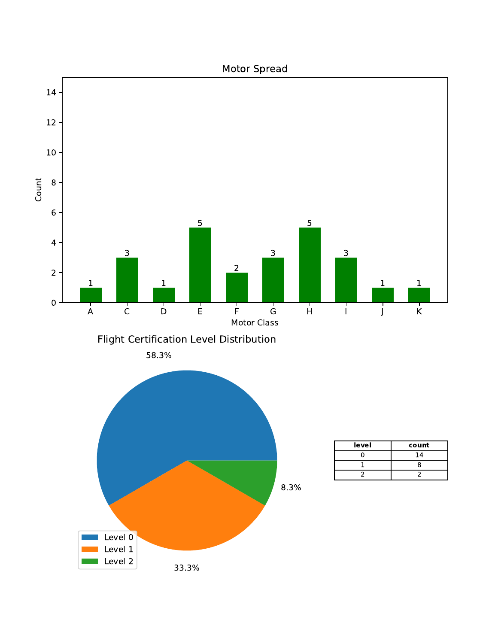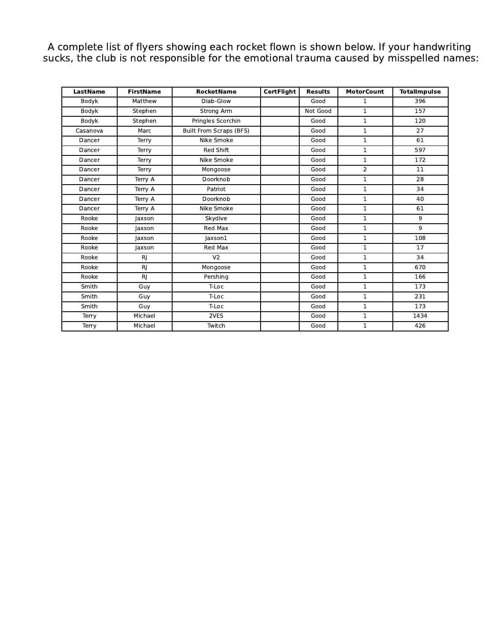A complete list of flyers showing each rocket flown is shown below. If your handwriting sucks, the club is not responsible for the emotional trauma caused by misspelled names:

| LastName | <b>FirstName</b> | <b>RocketName</b>              | <b>CertFlight</b>    | <b>Results</b><br><b>MotorCount</b> |              | <b>TotalImpulse</b> |
|----------|------------------|--------------------------------|----------------------|-------------------------------------|--------------|---------------------|
| Bodyk    | Matthew          | Diab-Glow                      | Good<br>$\mathbf{1}$ |                                     |              | 396                 |
| Bodyk    | Stephen          | Strong Arm                     |                      | Not Good                            | $\mathbf 1$  | 157                 |
| Bodyk    | Stephen          | Pringles Scorchin              |                      | Good                                | $\mathbf{1}$ | 120                 |
| Casanova | Marc             | <b>Built From Scraps (BFS)</b> |                      | Good                                | $\mathbf{1}$ | 27                  |
| Dancer   | Terry            | Nike Smoke                     | Good<br>$\mathbf{1}$ |                                     | 61           |                     |
| Dancer   | Terry            | Red Shift                      | $\mathbf{1}$<br>Good |                                     |              | 597                 |
| Dancer   | Terry            | Nike Smoke                     |                      | Good                                | $\mathbf{1}$ | 172                 |
| Dancer   | Terry            | Mongoose                       |                      | Good                                | 2            | 11                  |
| Dancer   | Terry A          | Doorknob                       |                      | Good                                | $\mathbf{1}$ | 28                  |
| Dancer   | Terry A          | Patriot                        |                      | Good                                | $\mathbf{1}$ | 34                  |
| Dancer   | Terry A          | Doorknob                       |                      | Good                                | 1            | 40                  |
| Dancer   | Terry A          | Nike Smoke                     |                      | Good                                | 1            | 61                  |
| Rooke    | Jaxson           | Skydive                        |                      | Good                                | $\mathbf{1}$ | 9                   |
| Rooke    | laxson           | Red Max                        |                      | Good                                | $\mathbf{1}$ | 9                   |
| Rooke    | laxson           | laxson1                        |                      | Good                                | $\mathbf{1}$ | 108                 |
| Rooke    | Jaxson           | Red Max                        |                      | Good                                | $\mathbf{1}$ | 17                  |
| Rooke    | RJ               | V <sub>2</sub>                 |                      | Good                                | $\mathbf{1}$ | 34                  |
| Rooke    | RJ               | Mongoose                       |                      | Good                                | $\mathbf{1}$ | 670                 |
| Rooke    | RJ               | Pershing                       |                      | Good                                | 1            | 166                 |
| Smith    | Guy              | T-Loc                          |                      | Good                                | $\mathbf{1}$ | 173                 |
| Smith    | Guy              | T-Loc                          |                      | Good                                | $\mathbf{1}$ | 231                 |
| Smith    | Guy              | T-Loc                          |                      | Good                                | $\mathbf{1}$ | 173                 |
| Terry    | Michael          | 2VES                           |                      | Good                                | 1            | 1434                |
| Terry    | Michael          | Twitch                         |                      | Good                                | $\mathbf{1}$ | 426                 |